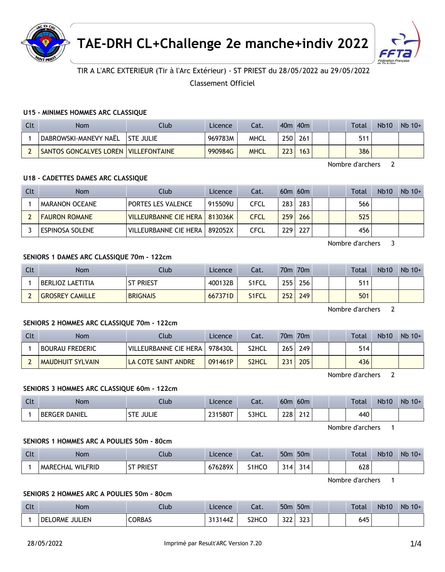



# TIR A L'ARC EXTERIEUR (Tir à l'Arc Extérieur) - ST PRIEST du 28/05/2022 au 29/05/2022

Classement Officiel

#### **U15 - MINIMES HOMMES ARC CLASSIQUE**

| Clt | Nom                                           | Club             | Licence | Cat.        |     | 40 <sub>m</sub> 40 <sub>m</sub> |  | Total | <b>Nb10</b> | $Nb$ 10+ |
|-----|-----------------------------------------------|------------------|---------|-------------|-----|---------------------------------|--|-------|-------------|----------|
|     | DABROWSKI-MANEVY NAËL                         | <b>STE JULIE</b> | 969783M | <b>MHCL</b> | 250 | 261                             |  | 511   |             |          |
|     | <b>SANTOS GONCALVES LOREN   VILLEFONTAINE</b> |                  | 990984G | <b>MHCL</b> | 223 | 163                             |  | 386   |             |          |

Nombre d'archers 2

## **U18 - CADETTES DAMES ARC CLASSIQUE**

| Clt | Nom                   | Club                      | Licence | Cat. |         | $60m$ $60m$ |  | Total | <b>Nb10</b> | $Nb 10+$ |
|-----|-----------------------|---------------------------|---------|------|---------|-------------|--|-------|-------------|----------|
|     | <b>MARANON OCEANE</b> | <b>PORTES LES VALENCE</b> | 915509U | CFCL | $283 +$ | 283         |  | 566   |             |          |
|     | <b>FAURON ROMANE</b>  | VILLEURBANNE CIE HERA     | 813036K | CFCL | 259     | 266         |  | 525   |             |          |
|     | ESPINOSA SOLENE       | VILLEURBANNE CIE HERA     | 892052X | CFCL | 229     | 227         |  | 456   |             |          |

Nombre d'archers 3

#### **SENIORS 1 DAMES ARC CLASSIQUE 70m - 122cm**

| Clt | Nom                     | Club                | <b>Licence</b> | Cat.  |      | 70m 70m |  | <b>Total</b> | <b>Nb10</b> | $Nb 10+$ |
|-----|-------------------------|---------------------|----------------|-------|------|---------|--|--------------|-------------|----------|
|     | <b>BERLIOZ LAETITIA</b> | <sup>.</sup> PRIEST | 400132B        | S1FCL | 2551 | 256     |  | 511          |             |          |
|     | <b>GROSREY CAMILLE</b>  | <b>BRIGNAIS</b>     | 667371D        | S1FCL | 252  | 249     |  | 501          |             |          |

Nombre d'archers 2

### **SENIORS 2 HOMMES ARC CLASSIQUE 70m - 122cm**

| Clt | <b>Nom</b>              | Club                  | Licence | Cat.               | 70 <sub>m</sub> | 70 <sub>m</sub> |  | Total | <b>Nb10</b> | $Nb 10+$ |
|-----|-------------------------|-----------------------|---------|--------------------|-----------------|-----------------|--|-------|-------------|----------|
|     | <b>BOURAU FREDERIC</b>  | VILLEURBANNE CIE HERA | 978430L | S <sub>2</sub> HCL | 265             | 249.            |  | 514   |             |          |
|     | <b>MAUDHUIT SYLVAIN</b> | LA COTE SAINT ANDRE   | 091461P | <b>S2HCL</b>       | 231             | 205             |  | 436   |             |          |

Nombre d'archers 2

#### **SENIORS 3 HOMMES ARC CLASSIQUE 60m - 122cm**

| Clt | Nom                            | llub         | Licence      | Cat.  | 60 <sub>m</sub> | 60 <sub>m</sub> |  | Total | Nb <sub>1</sub> C | <b>Nb</b><br>$10+$ |
|-----|--------------------------------|--------------|--------------|-------|-----------------|-----------------|--|-------|-------------------|--------------------|
|     | <b>DANIEL</b><br><b>BERGER</b> | <b>JULIE</b> | 1580T<br>ر ے | S3HCL | 228             | ີາ 4 ີ<br>2 I L |  | 440   |                   |                    |

Nombre d'archers 1

#### **SENIORS 1 HOMMES ARC A POULIES 50m - 80cm**

| $\Gamma$<br><b>CLL</b> | Nom                 | Club                | Licence | Cat.  | 50 <sub>m</sub> | 50 <sub>m</sub> | Total | <b>Nb10</b> | Nb<br>$10+$ |
|------------------------|---------------------|---------------------|---------|-------|-----------------|-----------------|-------|-------------|-------------|
|                        | WILFRID<br>MARECHAL | PRIEST<br>cт<br>ו כ | 676289X | S1HCO | 314             | 314             | 628   |             |             |

Nombre d'archers 1

#### **SENIORS 2 HOMMES ARC A POULIES 50m - 80cm**

| $C1+$<br><b>LLL</b> | <b>Nom</b>                   | Llub   | Licence | $\sim$<br>cal. | 50 <sub>m</sub> | 50 <sub>m</sub> | <b>Total</b> | <b>Nb10</b> | $Nb$ 10+ |
|---------------------|------------------------------|--------|---------|----------------|-----------------|-----------------|--------------|-------------|----------|
|                     | <b>JULIEN</b><br>DEL<br>ORME | CORBAS | $AA^-$  | S2HCO          | $\sim$<br>JLL   | $\sim$<br>ر_ر   | 645          |             |          |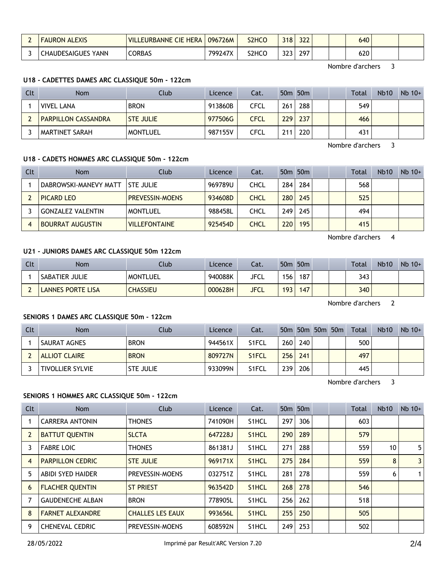| $\sim$ | <b>FAURON ALEXIS</b>  | <b>EURBANNE CIE HERA</b><br><b>VILL.</b> | 096726M             | S <sub>2</sub> HC <sub>O</sub> | 318      | רמר<br>عدد |  | 640 |  |
|--------|-----------------------|------------------------------------------|---------------------|--------------------------------|----------|------------|--|-----|--|
|        | YANN<br>:HAUDESAIGUES | CORBAS                                   | 17V<br>$.700^\circ$ | S2HCC                          | ີ<br>دعد | 297        |  | 620 |  |

Nombre d'archers 3

#### **U18 - CADETTES DAMES ARC CLASSIQUE 50m - 122cm**

| Clt | <b>Nom</b>                 | Club             | Licence | Cat. |     | 50 <sub>m</sub> 50 <sub>m</sub> |  | Total | <b>Nb10</b> | $Nb 10+$ |
|-----|----------------------------|------------------|---------|------|-----|---------------------------------|--|-------|-------------|----------|
|     | <b>VIVEL LANA</b>          | <b>BRON</b>      | 913860B | CFCL | 261 | 288                             |  | 549   |             |          |
|     | <b>PARPILLON CASSANDRA</b> | <b>STE JULIE</b> | 977506G | CFCL | 229 | 237                             |  | 466   |             |          |
|     | MARTINET SARAH             | <b>MONTLUEL</b>  | 987155V | CFCL | 211 | 220                             |  | 431   |             |          |

Nombre d'archers 3

#### **U18 - CADETS HOMMES ARC CLASSIQUE 50m - 122cm**

| Clt | <b>Nom</b>               | Club                   | Licence | Cat. |     | 50 <sub>m</sub> 50 <sub>m</sub> |  | <b>Total</b> | <b>Nb10</b> | $Nb$ 10+ |
|-----|--------------------------|------------------------|---------|------|-----|---------------------------------|--|--------------|-------------|----------|
|     | DABROWSKI-MANEVY MATT    | <b>STE JULIE</b>       | 969789U | CHCL | 284 | 284                             |  | 568          |             |          |
|     | PICARD LEO               | <b>PREVESSIN-MOENS</b> | 934608D | CHCL | 280 | 245                             |  | 525          |             |          |
|     | <b>GONZALEZ VALENTIN</b> | <b>MONTLUEL</b>        | 988458L | CHCL | 249 | 245                             |  | 494          |             |          |
|     | <b>BOURRAT AUGUSTIN</b>  | <b>VILLEFONTAINE</b>   | 925454D | CHCL | 220 | 195                             |  | 415          |             |          |

Nombre d'archers 4

#### **U21 - JUNIORS DAMES ARC CLASSIQUE 50m 122cm**

| Clt | <b>Nom</b>       | Club            | Licence | Cat.        | 50 <sub>m</sub>  | 50 <sub>m</sub> | <b>Total</b> | <b>Nb10</b> | $Nb$ 10+ |
|-----|------------------|-----------------|---------|-------------|------------------|-----------------|--------------|-------------|----------|
|     | SABATIER JULIE   | <b>MONTLUEL</b> | 940088K | JFCL        | 156 <sub>1</sub> | 187             | 343          |             |          |
|     | ANNES PORTE LISA | <b>CHASSIEU</b> | 000628H | <b>JFCL</b> | 193              | 147             | 340          |             |          |

Nombre d'archers 2

# **SENIORS 1 DAMES ARC CLASSIQUE 50m - 122cm**

| Clt | <b>Nom</b>              | Club             | Licence | Cat.               |     |     | 50m 50m 50m 50m | Total | <b>Nb10</b> | $Nb$ 10+ |
|-----|-------------------------|------------------|---------|--------------------|-----|-----|-----------------|-------|-------------|----------|
|     | <b>SAURAT AGNES</b>     | <b>BRON</b>      | 944561X | S <sub>1</sub> FCL | 260 | 240 |                 | 500   |             |          |
|     | <b>ALLIOT CLAIRE</b>    | <b>BRON</b>      | 809727N | S <sub>1</sub> FCL | 256 | 241 |                 | 497   |             |          |
|     | <b>TIVOLLIER SYLVIE</b> | <b>STE JULIE</b> | 933099N | S1FCL              | 239 | 206 |                 | 445   |             |          |

Nombre d'archers 3

## **SENIORS 1 HOMMES ARC CLASSIQUE 50m - 122cm**

| <b>Clt</b>     | <b>Nom</b>               | Club                    | Licence | Cat.               |     | 50 <sub>m</sub> 50 <sub>m</sub> |  | Total | Nb10 | $Nb$ 10+ |
|----------------|--------------------------|-------------------------|---------|--------------------|-----|---------------------------------|--|-------|------|----------|
|                | <b>CARRERA ANTONIN</b>   | <b>THONES</b>           | 741090H | S <sub>1</sub> HCL | 297 | 306                             |  | 603   |      |          |
| $\overline{2}$ | <b>BATTUT QUENTIN</b>    | <b>SLCTA</b>            | 647228J | S <sub>1</sub> HCL | 290 | 289                             |  | 579   |      |          |
| 3              | <b>FABRE LOIC</b>        | <b>THONES</b>           | 861381J | S <sub>1</sub> HCL | 271 | 288                             |  | 559   | 10   | 5        |
| $\overline{4}$ | <b>PARPILLON CEDRIC</b>  | <b>STE JULIE</b>        | 969171X | S <sub>1</sub> HCL | 275 | 284                             |  | 559   | 8    | 3        |
| 5              | <b>ABIDI SYED HAIDER</b> | PREVESSIN-MOENS         | 032751Z | S <sub>1</sub> HCL | 281 | 278                             |  | 559   | 6    | 1        |
| 6              | <b>FLACHER QUENTIN</b>   | <b>ST PRIEST</b>        | 963542D | S <sub>1</sub> HCL | 268 | 278                             |  | 546   |      |          |
| 7              | <b>GAUDENECHE ALBAN</b>  | <b>BRON</b>             | 778905L | S <sub>1</sub> HCL | 256 | 262                             |  | 518   |      |          |
| 8              | <b>FARNET ALEXANDRE</b>  | <b>CHALLES LES EAUX</b> | 993656L | S <sub>1</sub> HCL | 255 | 250                             |  | 505   |      |          |
| 9              | <b>CHENEVAL CEDRIC</b>   | PREVESSIN-MOENS         | 608592N | S <sub>1</sub> HCL | 249 | 253                             |  | 502   |      |          |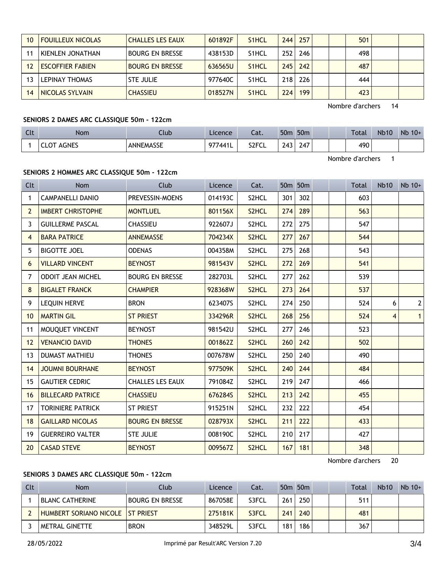| 10 | <b>FOUILLEUX NICOLAS</b> | <b>CHALLES LES EAUX</b> | 601892F | S <sub>1</sub> HCL | 244 | 257 |  | 501 |  |
|----|--------------------------|-------------------------|---------|--------------------|-----|-----|--|-----|--|
| 11 | KIENLEN JONATHAN         | BOURG EN BRESSE         | 438153D | S <sub>1</sub> HCL | 252 | 246 |  | 498 |  |
| 12 | <b>ESCOFFIER FABIEN</b>  | <b>BOURG EN BRESSE</b>  | 636565U | S <sub>1</sub> HCL | 245 | 242 |  | 487 |  |
|    | LEPINAY THOMAS           | <b>STE JULIE</b>        | 977640C | S <sub>1</sub> HCL | 218 | 226 |  | 444 |  |
| 14 | NICOLAS SYLVAIN          | <b>CHASSIEU</b>         | 018527N | S <sub>1</sub> HCL | 224 | 199 |  | 423 |  |

Nombre d'archers 14

## **SENIORS 2 DAMES ARC CLASSIQUE 50m - 122cm**

| Clt | <b>Nom</b>                    | Jlub                                     | Licence       | $\sim$<br>-al.          | 50 <sub>m</sub> | 50 <sub>m</sub> |  | Total | <b>Nb10</b> | Nb<br>$10+$ |
|-----|-------------------------------|------------------------------------------|---------------|-------------------------|-----------------|-----------------|--|-------|-------------|-------------|
|     | <b>AGNES</b><br>◡∟◡<br>8911LJ | $\sim$ $\sim$ $\sim$<br><b>ANNEMASSE</b> | <b>Q77441</b> | S <sub>2</sub> FCI<br>∼ |                 | 247             |  | 490   |             |             |

Nombre d'archers 1

## **SENIORS 2 HOMMES ARC CLASSIQUE 50m - 122cm**

| Clt               | <b>Nom</b>               | Club                    | Licence | Cat.               | 50 <sub>m</sub> 50 <sub>m</sub> |     |  | Total | <b>Nb10</b>    | $Nb$ 10+       |
|-------------------|--------------------------|-------------------------|---------|--------------------|---------------------------------|-----|--|-------|----------------|----------------|
| 1                 | <b>CAMPANELLI DANIO</b>  | PREVESSIN-MOENS         | 014193C | S2HCL              | 301                             | 302 |  | 603   |                |                |
| $\overline{2}$    | <b>IMBERT CHRISTOPHE</b> | <b>MONTLUEL</b>         | 801156X | S <sub>2</sub> HCL | 274                             | 289 |  | 563   |                |                |
| 3                 | <b>GUILLERME PASCAL</b>  | <b>CHASSIEU</b>         | 922607J | S2HCL              | 272                             | 275 |  | 547   |                |                |
| 4                 | <b>BARA PATRICE</b>      | <b>ANNEMASSE</b>        | 704234X | S2HCL              | 277                             | 267 |  | 544   |                |                |
| 5                 | <b>BIGOTTE JOEL</b>      | <b>ODENAS</b>           | 004358M | S2HCL              | 275                             | 268 |  | 543   |                |                |
| 6                 | <b>VILLARD VINCENT</b>   | <b>BEYNOST</b>          | 981543V | S2HCL              | 272                             | 269 |  | 541   |                |                |
| 7                 | <b>ODOIT JEAN MICHEL</b> | <b>BOURG EN BRESSE</b>  | 282703L | S2HCL              | 277                             | 262 |  | 539   |                |                |
| 8                 | <b>BIGALET FRANCK</b>    | <b>CHAMPIER</b>         | 928368W | S <sub>2</sub> HCL | 273                             | 264 |  | 537   |                |                |
| 9                 | <b>LEQUIN HERVE</b>      | <b>BRON</b>             | 623407S | S2HCL              | 274                             | 250 |  | 524   | 6              | 2 <sup>1</sup> |
| 10                | <b>MARTIN GIL</b>        | <b>ST PRIEST</b>        | 334296R | S2HCL              | 268                             | 256 |  | 524   | $\overline{4}$ | 1              |
| 11                | MOUQUET VINCENT          | <b>BEYNOST</b>          | 981542U | S2HCL              | 277                             | 246 |  | 523   |                |                |
| $12 \overline{ }$ | <b>VENANCIO DAVID</b>    | <b>THONES</b>           | 001862Z | S2HCL              | 260                             | 242 |  | 502   |                |                |
| 13                | <b>DUMAST MATHIEU</b>    | <b>THONES</b>           | 007678W | S <sub>2</sub> HCL | 250                             | 240 |  | 490   |                |                |
| 14                | <b>JOUMNI BOURHANE</b>   | <b>BEYNOST</b>          | 977509K | S2HCL              | 240                             | 244 |  | 484   |                |                |
| 15                | <b>GAUTIER CEDRIC</b>    | <b>CHALLES LES EAUX</b> | 791084Z | S2HCL              | 219                             | 247 |  | 466   |                |                |
| 16                | <b>BILLECARD PATRICE</b> | <b>CHASSIEU</b>         | 676284S | S2HCL              | 213                             | 242 |  | 455   |                |                |
| 17                | <b>TORINIERE PATRICK</b> | <b>ST PRIEST</b>        | 915251N | S2HCL              | 232                             | 222 |  | 454   |                |                |
| 18                | <b>GAILLARD NICOLAS</b>  | <b>BOURG EN BRESSE</b>  | 028793X | S2HCL              | 211                             | 222 |  | 433   |                |                |
| 19                | <b>GUERREIRO VALTER</b>  | <b>STE JULIE</b>        | 008190C | S <sub>2</sub> HCL | 210                             | 217 |  | 427   |                |                |
| 20                | <b>CASAD STEVE</b>       | <b>BEYNOST</b>          | 009567Z | S <sub>2</sub> HCL | 167                             | 181 |  | 348   |                |                |

Nombre d'archers 20

# **SENIORS 3 DAMES ARC CLASSIQUE 50m - 122cm**

| Clt | Nom                                      | Club            | <b>Licence</b> | Cat.  |     | 50 <sub>m</sub> 50 <sub>m</sub> |  | Total | <b>Nb10</b> | $Nb$ 10+ |
|-----|------------------------------------------|-----------------|----------------|-------|-----|---------------------------------|--|-------|-------------|----------|
|     | <b>BLANC CATHERINE</b>                   | Bourg en Bresse | 867058E        | S3FCL | 261 | 250                             |  | 511   |             |          |
|     | <b>HUMBERT SORIANO NICOLE IST PRIEST</b> |                 | 275181K        | S3FCL | 241 | 240                             |  | 481   |             |          |
|     | <b>METRAL GINETTE</b>                    | <b>BRON</b>     | 348529L        | S3FCL | 181 | 186                             |  | 367   |             |          |